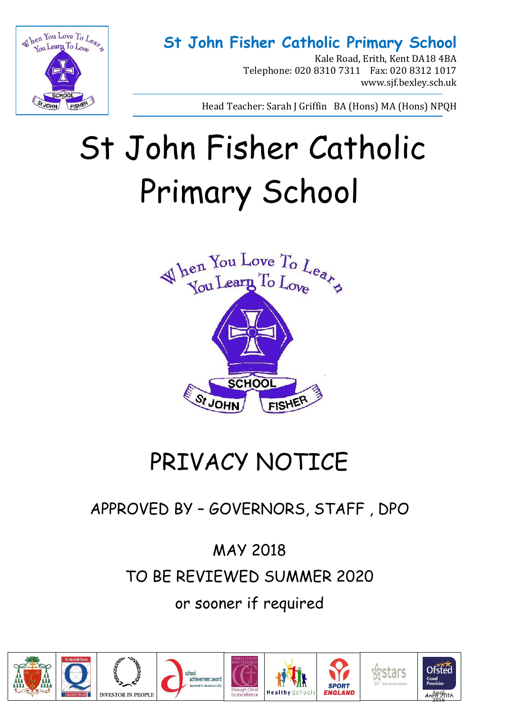

Kale Road, Erith, Kent DA18 4BA Telephone: 020 8310 7311 Fax: 020 8312 1017 www.sjf.bexley.sch.uk

Head Teacher: Sarah J Griffin BA (Hons) MA (Hons) NPQH

# St John Fisher Catholic Primary School



## PRIVACY NOTICE

### APPROVED BY – GOVERNORS, STAFF , DPO

MAY 2018 TO BE REVIEWED SUMMER 2020 or sooner if required









**SPORT** 



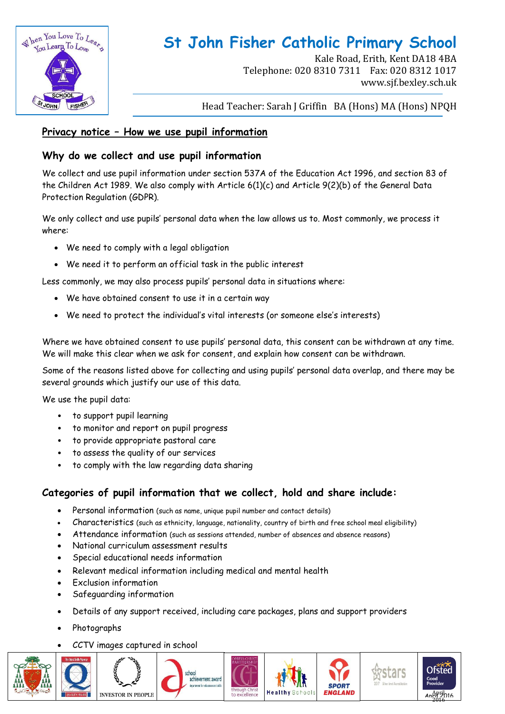

Kale Road, Erith, Kent DA18 4BA Telephone: 020 8310 7311 Fax: 020 8312 1017 www.sjf.bexley.sch.uk

Head Teacher: Sarah J Griffin BA (Hons) MA (Hons) NPQH

#### **Privacy notice – How we use pupil information**

#### **Why do we collect and use pupil information**

We collect and use pupil information under section 537A of the Education Act 1996, and section 83 of the Children Act 1989. We also comply with Article 6(1)(c) and Article 9(2)(b) of the General Data Protection Regulation (GDPR).

We only collect and use pupils' personal data when the law allows us to. Most commonly, we process it where:

- We need to comply with a legal obligation
- We need it to perform an official task in the public interest

Less commonly, we may also process pupils' personal data in situations where:

- We have obtained consent to use it in a certain way
- We need to protect the individual's vital interests (or someone else's interests)

Where we have obtained consent to use pupils' personal data, this consent can be withdrawn at any time. We will make this clear when we ask for consent, and explain how consent can be withdrawn.

Some of the reasons listed above for collecting and using pupils' personal data overlap, and there may be several grounds which justify our use of this data.

We use the pupil data:

- to support pupil learning
- to monitor and report on pupil progress
- to provide appropriate pastoral care
- to assess the quality of our services
- to comply with the law regarding data sharing

#### **Categories of pupil information that we collect, hold and share include:**

- Personal information (such as name, unique pupil number and contact details)
- Characteristics (such as ethnicity, language, nationality, country of birth and free school meal eligibility)
- Attendance information (such as sessions attended, number of absences and absence reasons)
- National curriculum assessment results
- Special educational needs information
- Relevant medical information including medical and mental health
- Exclusion information
- Safeguarding information
- Details of any support received, including care packages, plans and support providers
- Photographs
- CCTV images captured in school





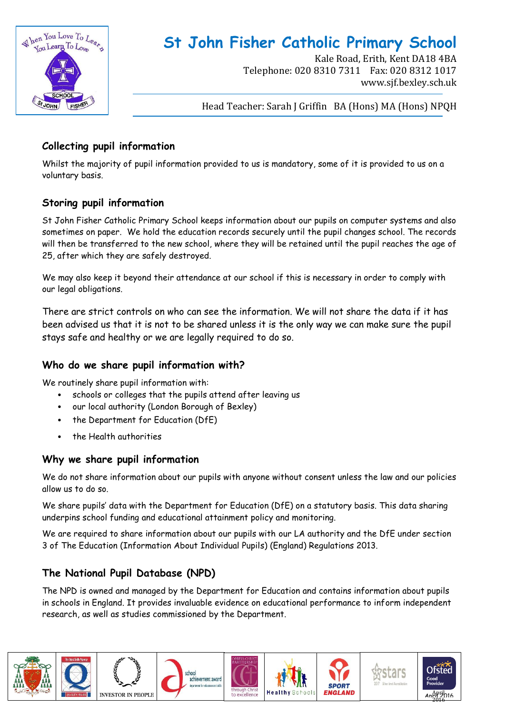

Kale Road, Erith, Kent DA18 4BA Telephone: 020 8310 7311 Fax: 020 8312 1017 www.sjf.bexley.sch.uk

Head Teacher: Sarah J Griffin BA (Hons) MA (Hons) NPQH

#### **Collecting pupil information**

Whilst the majority of pupil information provided to us is mandatory, some of it is provided to us on a voluntary basis.

#### **Storing pupil information**

St John Fisher Catholic Primary School keeps information about our pupils on computer systems and also sometimes on paper. We hold the education records securely until the pupil changes school. The records will then be transferred to the new school, where they will be retained until the pupil reaches the age of 25, after which they are safely destroyed.

We may also keep it beyond their attendance at our school if this is necessary in order to comply with our legal obligations.

There are strict controls on who can see the information. We will not share the data if it has been advised us that it is not to be shared unless it is the only way we can make sure the pupil stays safe and healthy or we are legally required to do so.

#### **Who do we share pupil information with?**

We routinely share pupil information with:

- schools or colleges that the pupils attend after leaving us
- our local authority (London Borough of Bexley)
- the Department for Education (DfE)
- the Health authorities

#### **Why we share pupil information**

We do not share information about our pupils with anyone without consent unless the law and our policies allow us to do so.

We share pupils' data with the Department for Education (DfE) on a statutory basis. This data sharing underpins school funding and educational attainment policy and monitoring.

We are required to share information about our pupils with our LA authority and the DfE under section 3 of The Education (Information About Individual Pupils) (England) Regulations 2013.

#### **The National Pupil Database (NPD)**

The NPD is owned and managed by the Department for Education and contains information about pupils in schools in England. It provides invaluable evidence on educational performance to inform independent research, as well as studies commissioned by the Department.

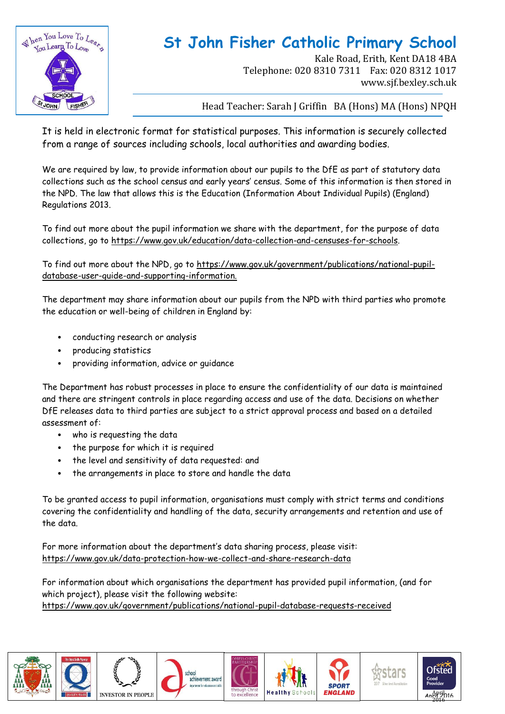

Kale Road, Erith, Kent DA18 4BA Telephone: 020 8310 7311 Fax: 020 8312 1017 www.sjf.bexley.sch.uk

Head Teacher: Sarah J Griffin BA (Hons) MA (Hons) NPQH

It is held in electronic format for statistical purposes. This information is securely collected from a range of sources including schools, local authorities and awarding bodies.

We are required by law, to provide information about our pupils to the DfE as part of statutory data collections such as the school census and early years' census. Some of this information is then stored in the NPD. The law that allows this is the Education (Information About Individual Pupils) (England) Regulations 2013.

To find out more about the pupil information we share with the department, for the purpose of data collections, go to https://www.gov.uk/education/data-collection-and-censuses-for-schools.

To find out more about the NPD, go to https://www.gov.uk/government/publications/national-pupildatabase-user-guide-and-supporting-information.

The department may share information about our pupils from the NPD with third parties who promote the education or well-being of children in England by:

- conducting research or analysis
- producing statistics
- providing information, advice or guidance

The Department has robust processes in place to ensure the confidentiality of our data is maintained and there are stringent controls in place regarding access and use of the data. Decisions on whether DfE releases data to third parties are subject to a strict approval process and based on a detailed assessment of:

- who is requesting the data
- the purpose for which it is required
- the level and sensitivity of data requested: and
- the arrangements in place to store and handle the data

To be granted access to pupil information, organisations must comply with strict terms and conditions covering the confidentiality and handling of the data, security arrangements and retention and use of the data.

For more information about the department's data sharing process, please visit: <https://www.gov.uk/data-protection-how-we-collect-and-share-research-data>

For information about which organisations the department has provided pupil information, (and for which project), please visit the following website: <https://www.gov.uk/government/publications/national-pupil-database-requests-received>













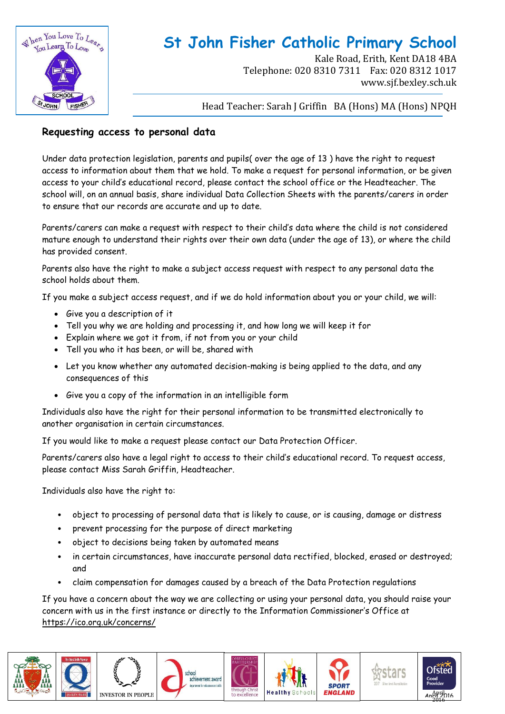

Kale Road, Erith, Kent DA18 4BA Telephone: 020 8310 7311 Fax: 020 8312 1017 www.sjf.bexley.sch.uk

Head Teacher: Sarah J Griffin BA (Hons) MA (Hons) NPQH

#### **Requesting access to personal data**

Under data protection legislation, parents and pupils( over the age of 13 ) have the right to request access to information about them that we hold. To make a request for personal information, or be given access to your child's educational record, please contact the school office or the Headteacher. The school will, on an annual basis, share individual Data Collection Sheets with the parents/carers in order to ensure that our records are accurate and up to date.

Parents/carers can make a request with respect to their child's data where the child is not considered mature enough to understand their rights over their own data (under the age of 13), or where the child has provided consent.

Parents also have the right to make a subject access request with respect to any personal data the school holds about them.

If you make a subject access request, and if we do hold information about you or your child, we will:

- Give you a description of it
- Tell you why we are holding and processing it, and how long we will keep it for
- Explain where we got it from, if not from you or your child
- Tell you who it has been, or will be, shared with
- Let you know whether any automated decision-making is being applied to the data, and any consequences of this
- Give you a copy of the information in an intelligible form

Individuals also have the right for their personal information to be transmitted electronically to another organisation in certain circumstances.

If you would like to make a request please contact our Data Protection Officer.

Parents/carers also have a legal right to access to their child's educational record. To request access, please contact Miss Sarah Griffin, Headteacher.

Individuals also have the right to:

- object to processing of personal data that is likely to cause, or is causing, damage or distress
- prevent processing for the purpose of direct marketing
- object to decisions being taken by automated means
- in certain circumstances, have inaccurate personal data rectified, blocked, erased or destroyed; and
- claim compensation for damages caused by a breach of the Data Protection regulations

If you have a concern about the way we are collecting or using your personal data, you should raise your concern with us in the first instance or directly to the Information Commissioner's Office at <https://ico.org.uk/concerns/>











tars

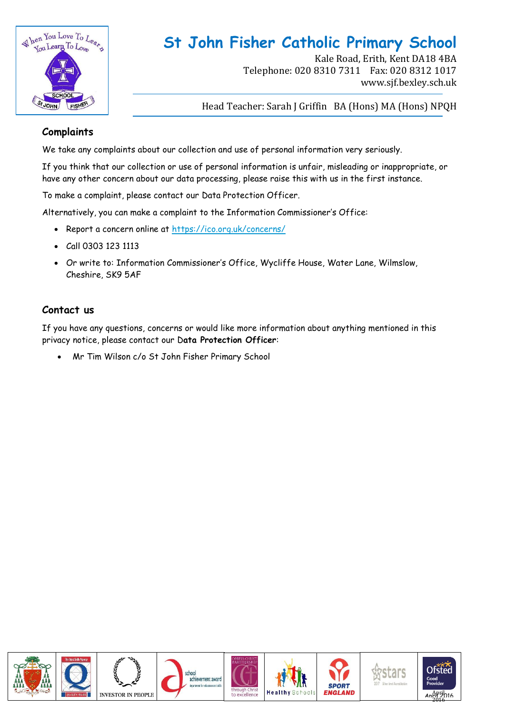

Kale Road, Erith, Kent DA18 4BA Telephone: 020 8310 7311 Fax: 020 8312 1017 www.sjf.bexley.sch.uk

Head Teacher: Sarah J Griffin BA (Hons) MA (Hons) NPQH

#### **Complaints**

We take any complaints about our collection and use of personal information very seriously.

If you think that our collection or use of personal information is unfair, misleading or inappropriate, or have any other concern about our data processing, please raise this with us in the first instance.

To make a complaint, please contact our Data Protection Officer.

Alternatively, you can make a complaint to the Information Commissioner's Office:

- Report a concern online at<https://ico.org.uk/concerns/>
- Call 0303 123 1113
- Or write to: Information Commissioner's Office, Wycliffe House, Water Lane, Wilmslow, Cheshire, SK9 5AF

#### **Contact us**

If you have any questions, concerns or would like more information about anything mentioned in this privacy notice, please contact our D**ata Protection Officer**:

Mr Tim Wilson c/o St John Fisher Primary School















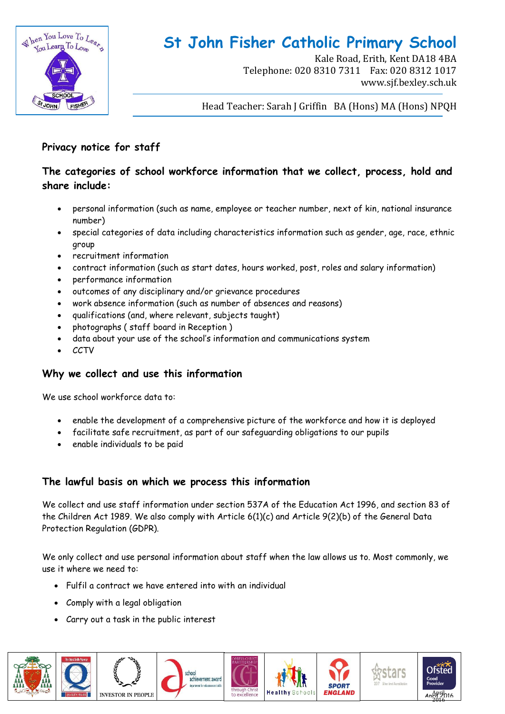

Kale Road, Erith, Kent DA18 4BA Telephone: 020 8310 7311 Fax: 020 8312 1017 www.sjf.bexley.sch.uk

Head Teacher: Sarah J Griffin BA (Hons) MA (Hons) NPQH

#### **Privacy notice for staff**

#### **The categories of school workforce information that we collect, process, hold and share include:**

- personal information (such as name, employee or teacher number, next of kin, national insurance number)
- special categories of data including characteristics information such as gender, age, race, ethnic group
- recruitment information
- contract information (such as start dates, hours worked, post, roles and salary information)
- performance information
- outcomes of any disciplinary and/or grievance procedures
- work absence information (such as number of absences and reasons)
- qualifications (and, where relevant, subjects taught)
- photographs ( staff board in Reception )
- data about your use of the school's information and communications system
- **CCTV**

#### **Why we collect and use this information**

We use school workforce data to:

- enable the development of a comprehensive picture of the workforce and how it is deployed
- facilitate safe recruitment, as part of our safeguarding obligations to our pupils
- enable individuals to be paid

#### **The lawful basis on which we process this information**

We collect and use staff information under section 537A of the Education Act 1996, and section 83 of the Children Act 1989. We also comply with Article 6(1)(c) and Article 9(2)(b) of the General Data Protection Regulation (GDPR).

We only collect and use personal information about staff when the law allows us to. Most commonly, we use it where we need to:

- Fulfil a contract we have entered into with an individual
- Comply with a legal obligation
- Carry out a task in the public interest

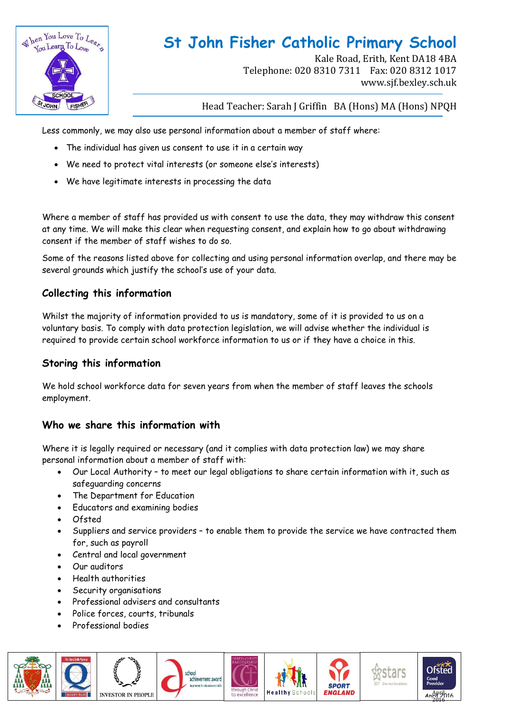

Kale Road, Erith, Kent DA18 4BA Telephone: 020 8310 7311 Fax: 020 8312 1017 www.sjf.bexley.sch.uk

Head Teacher: Sarah J Griffin BA (Hons) MA (Hons) NPQH

Less commonly, we may also use personal information about a member of staff where:

- The individual has given us consent to use it in a certain way
- We need to protect vital interests (or someone else's interests)
- We have legitimate interests in processing the data

Where a member of staff has provided us with consent to use the data, they may withdraw this consent at any time. We will make this clear when requesting consent, and explain how to go about withdrawing consent if the member of staff wishes to do so.

Some of the reasons listed above for collecting and using personal information overlap, and there may be several grounds which justify the school's use of your data.

#### **Collecting this information**

Whilst the majority of information provided to us is mandatory, some of it is provided to us on a voluntary basis. To comply with data protection legislation, we will advise whether the individual is required to provide certain school workforce information to us or if they have a choice in this.

#### **Storing this information**

We hold school workforce data for seven years from when the member of staff leaves the schools employment.

#### **Who we share this information with**

Where it is legally required or necessary (and it complies with data protection law) we may share personal information about a member of staff with:

- Our Local Authority to meet our legal obligations to share certain information with it, such as safeguarding concerns
- The Department for Education
- Educators and examining bodies
- Ofsted
- Suppliers and service providers to enable them to provide the service we have contracted them for, such as payroll
- Central and local government
- Our auditors
- Health authorities
- Security organisations
- Professional advisers and consultants
- Police forces, courts, tribunals
- Professional bodies

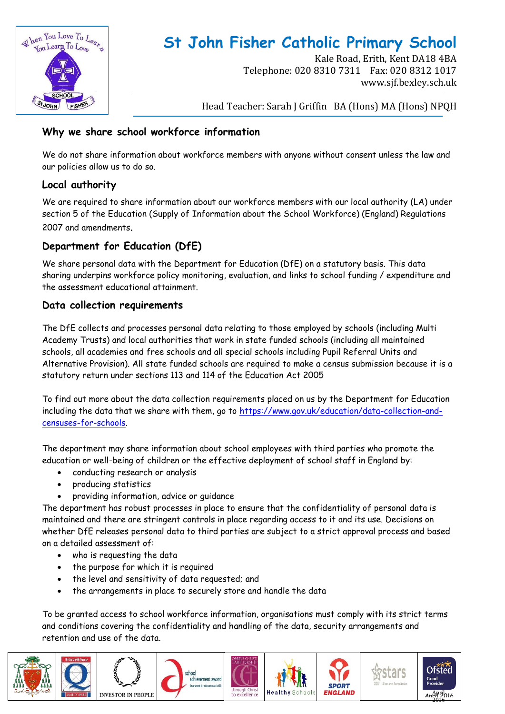

Kale Road, Erith, Kent DA18 4BA Telephone: 020 8310 7311 Fax: 020 8312 1017 www.sjf.bexley.sch.uk

Head Teacher: Sarah J Griffin BA (Hons) MA (Hons) NPQH

#### **Why we share school workforce information**

We do not share information about workforce members with anyone without consent unless the law and our policies allow us to do so.

#### **Local authority**

We are required to share information about our workforce members with our local authority (LA) under section 5 of the Education (Supply of Information about the School Workforce) (England) Regulations 2007 and amendments.

#### **Department for Education (DfE)**

We share personal data with the Department for Education (DfE) on a statutory basis. This data sharing underpins workforce policy monitoring, evaluation, and links to school funding / expenditure and the assessment educational attainment.

#### **Data collection requirements**

The DfE collects and processes personal data relating to those employed by schools (including Multi Academy Trusts) and local authorities that work in state funded schools (including all maintained schools, all academies and free schools and all special schools including Pupil Referral Units and Alternative Provision). All state funded schools are required to make a census submission because it is a statutory return under sections 113 and 114 of the Education Act 2005

To find out more about the data collection requirements placed on us by the Department for Education including the data that we share with them, go to [https://www.gov.uk/education/data-collection-and](https://www.gov.uk/education/data-collection-and-censuses-for-schools)[censuses-for-schools.](https://www.gov.uk/education/data-collection-and-censuses-for-schools)

The department may share information about school employees with third parties who promote the education or well-being of children or the effective deployment of school staff in England by:

- conducting research or analysis
- producing statistics
- providing information, advice or guidance

The department has robust processes in place to ensure that the confidentiality of personal data is maintained and there are stringent controls in place regarding access to it and its use. Decisions on whether DfE releases personal data to third parties are subject to a strict approval process and based on a detailed assessment of:

- who is requesting the data
- the purpose for which it is required
- the level and sensitivity of data requested; and
- the arrangements in place to securely store and handle the data

To be granted access to school workforce information, organisations must comply with its strict terms and conditions covering the confidentiality and handling of the data, security arrangements and retention and use of the data.

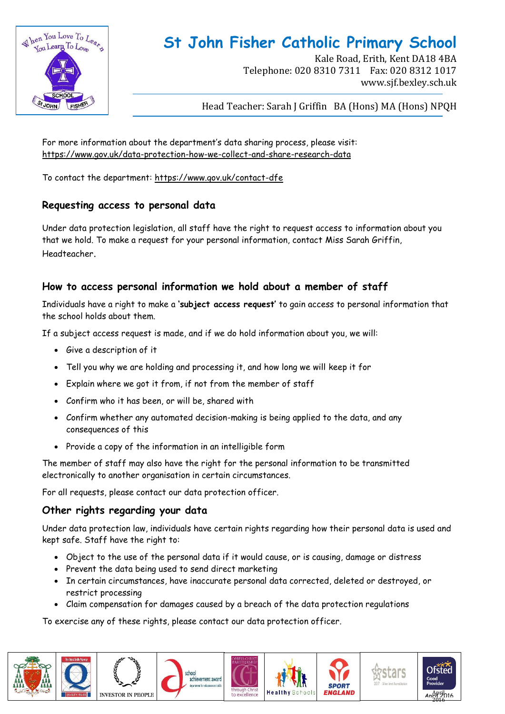

Kale Road, Erith, Kent DA18 4BA Telephone: 020 8310 7311 Fax: 020 8312 1017 www.sjf.bexley.sch.uk

Head Teacher: Sarah J Griffin BA (Hons) MA (Hons) NPQH

For more information about the department's data sharing process, please visit: <https://www.gov.uk/data-protection-how-we-collect-and-share-research-data>

To contact the department:<https://www.gov.uk/contact-dfe>

#### **Requesting access to personal data**

Under data protection legislation, all staff have the right to request access to information about you that we hold. To make a request for your personal information, contact Miss Sarah Griffin, Headteacher.

#### **How to access personal information we hold about a member of staff**

Individuals have a right to make a **'subject access request'** to gain access to personal information that the school holds about them.

If a subject access request is made, and if we do hold information about you, we will:

- Give a description of it
- Tell you why we are holding and processing it, and how long we will keep it for
- Explain where we got it from, if not from the member of staff
- Confirm who it has been, or will be, shared with
- Confirm whether any automated decision-making is being applied to the data, and any consequences of this
- Provide a copy of the information in an intelligible form

The member of staff may also have the right for the personal information to be transmitted electronically to another organisation in certain circumstances.

For all requests, please contact our data protection officer.

#### **Other rights regarding your data**

Under data protection law, individuals have certain rights regarding how their personal data is used and kept safe. Staff have the right to:

- Object to the use of the personal data if it would cause, or is causing, damage or distress
- Prevent the data being used to send direct marketing
- In certain circumstances, have inaccurate personal data corrected, deleted or destroyed, or restrict processing
- Claim compensation for damages caused by a breach of the data protection regulations

To exercise any of these rights, please contact our data protection officer.